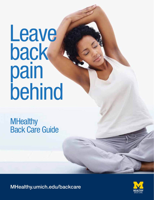# Leave back pain behind

**MHealthy** Back Care Guide

MHealthy.umich.edu/backcare

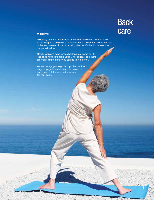# **Back** care

**1**

### **Welcome!**

MHealthy and the Department of Physical Medicine & Rehabilitation-Spine Program have created this back care booklet for people who are in the early weeks of low back pain, whether it's the first time or has happened before.

Nearly everyone experiences back pain at some point. The good news is that it's usually not serious, and there are many simple things you can do to feel better.

We encourage you to go through this booklet page by page to understand the causes of back pain, risk factors, and how to care for your back.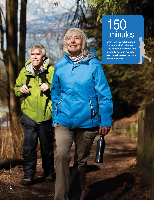# 150 minutes

**Most healthy adults need 2 hours and 30 minutes (150 minutes) of moderateintensity aerobic activity each week to get the most health benefits.**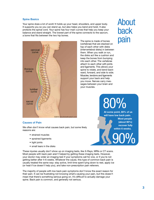#### **Spine Basics**

Your spine does a lot of work! It holds up your head, shoulders, and upper body. It supports you so you can stand up, but also helps you bend and twist. It also protects the spinal cord. Your spine has four main curves that help you keep your balance and stand straight. The lowest part of the spine connects to the sacrum, a bone that fits between the two hip bones.



The spine is made of bones (vertebrae) that are stacked on top of each other with disks (intervertebral disks) in between them. When you walk or run, the disks act like a cushion and keep the bones from bumping into each other. The vertebrae attach to each other with joints and ligaments. This allows your spine to rotate, and bend backward, forward, and side to side. Muscles, tendons and ligaments support your back and help you move. Nerves carry messages between your brain and your muscles.

# About back pain

# 80%

90% **At some point, 80% of us will have low back pain. Most people (about 90%) recover fully within 6 weeks.**

#### **Causes of Pain**

We often don't know what causes back pain, but some likely reasons are:

- strained muscles
- sprained ligaments
- tight joints
- small tears in the disks

These injuries usually don't show up on imaging tests, like X-Rays, MRIs or CT scans. Most people with back pain aren't helped by getting these imaging tests. However, your doctor may order an imaging test if your symptoms call for one, or if you're not getting better after 4-6 weeks. Whatever the cause, this type of common back pain is usually treated the same way: stay active, limit time spent lying down to rest, apply ice (or heat if ice doesn't help you), and take non-prescription pain relievers.

The majority of people with low back pain symptoms don't know the exact reason for their pain. It can be frustrating not knowing what's causing your pain, but this doesn't mean that there's something serious going on. It's difficult to actually damage your spine. Back pain is common, and generally not serious.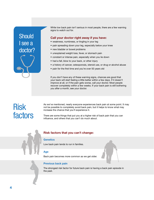

While low back pain isn't serious in most people, there are a few warning signs to watch out for.

### **Call your doctor right away if you have:**

- weakness, numbness, or tingling in your leg
- pain spreading down your leg, especially below your knee
- new bladder or bowel problems
- unexplained weight loss, fever, or stomach pain
- constant or intense pain, especially when you lie down
- had a fall, blow to your back, or other injury
- a history of cancer, osteoporosis, steroid use, or drug or alcohol abuse
- pain for the first time and you're over 50 years old

If you don't have any of these warning signs, chances are good that your back will start feeling a little better within a few days. If it doesn't improve at all, or if the pain gets worse, call your doctor. Most people recover completely within a few weeks. If your back pain is still bothering you after a month, see your doctor.

# Risk factors

As we've mentioned, nearly everyone experiences back pain at some point. It may not be possible to completely avoid back pain, but it helps to know what may increase the chance that you'll experience it.

There are some things that put you at a higher risk of back pain that you can influence, and others that you can't do much about.



### **Risk factors that you can't change:**

#### **Genetics**

Low back pain tends to run in families.

### **Age**

Back pain becomes more common as we get older.

### **Previous back pain**

The strongest risk factor for future back pain is having a back pain episode in the past.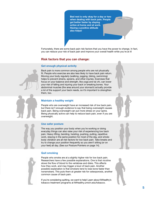**Bed rest is only okay for a day or two when dealing with back pain. People get better faster by staying active at home and at work. Having a positive attitude also helps!**

Fortunately, there are some back pain risk factors that you have the power to change. In fact, you can reduce your risk of back pain and improve your overall health while you're at it!

### **Risk factors that you can change: Risk factors that you can change:**

#### **Get enough physical activity**

Back pain is more common among people who are not physically fit. People who exercise are also less likely to have back pain return. Moving your body regularly (walking, jogging, biking, swimming) helps to prevent strains, sprains, and other injuries. Exercises that focus on your balance and strength, like yoga and tai chi, can lower your risk of falling and injuring your back or breaking bones. Your abdominal muscles (the area around your stomach) actually provide a lot of the support your back needs, so it's important to strengthen them, too.

#### **Maintain a healthy weight**

People who are overweight have an increased risk of low back pain, but there isn't enough evidence to say that being overweight causes back pain. Being overweight can put more stress on your spine. Being physically active can help to reduce back pain, even if you are overweight.

#### **Use safer posture**

The way you position your body when you're working or doing everyday things can also raise your risk of experiencing low back pain. Heavy lifting, bending, twisting, pushing, pulling, repetitive work, staying in the same position for most of the day, and wholebody vibration are all risk factors for low back pain. Take breaks and try to change your position frequently so you aren't sitting (or on your feet) all day. (See our Posture Pointers on page 14).

#### **Quit smoking**

People who smoke are at a slightly higher risk for low back pain. Researchers have a few possible explanations. One is that nicotine slows the flow of blood to the vertebrae and disks. This affects how they work, and may trigger a bout of back pain. Another possible explanation is that smokers tend to lose bone faster than nonsmokers. This puts them at greater risk for osteoporosis, another common cause of back pain.

If you're considering quitting, we want to help! Learn about MHealthy's tobacco treatment programs at MHealthy.umich.edu/tobacco.

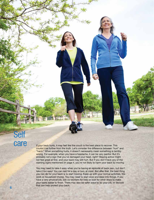# Self care

If your back hurts, it may feel like the couch is the best place to recover. This couldn't be further from the truth. Let's consider the difference between "hurt" and "harm." When something hurts, it doesn't necessarily mean something is terribly wrong. For example, when you have a headache, it can be very painful. But it's probably not a sign that you've damaged your head, right? Staying active might not feel great at first, and your back may still hurt. But if you don't have any of the warning signs mentioned on page 4, you're not likely to harm your back by moving.

**IMMERS** 

You may need to take it easy when you're having an episode of back pain, but don't take it *too* easy! You can rest for a day or two, at most. But after that, the best thing you can do for your back is to start moving. Keep up with your normal activities, like work or household chores. You may need to start slow and ease into things. If you have a very physical job, ask co-workers for help or look for other ways to make your tasks easier to finish. There may also be safer ways to do your job, or devices that can help protect your back.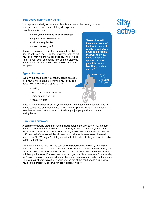#### **Stay active during back pain:**

Your spine was designed to move. People who are active usually have less back pain, and recover faster if they do experience it. Regular exercise can:

- make your bones and muscles stronger
- improve your overall health
- help you stay flexible
- make you feel good!

It may not be easy or pain-free to stay active while dealing with back pain. But the longer you wait to get your body moving, the harder it will be. The key is to listen to your body and notice how you feel after you are active. Over time, you'll be able to do more with less pain.

#### **Types of exercise:**

Even if your back hurts, you can try gentle exercise for a few minutes at a time. Moving your body can actually help with muscle spasms. Try:

- walking
- swimming or water aerobics
- riding an exercise bike
- yoga or Pilates

If you take an exercise class, let your instructor know about your back pain so he or she can advise on which moves to modify or skip. Steer clear of high-impact exercises or ones that involve a lot of twisting or jumping until your back is feeling better.

#### **How much exercise:**

A complete exercise program should include aerobic activity, stretching, strength training, and balance activities. Aerobic activity, or "cardio," makes you breathe harder and your heart beat faster. Most healthy adults need 2 hours and 30 minutes (150 minutes) of moderate-intensity aerobic activity each week to get the most health benefits. When you're doing a moderate-intensity activity, you should be able to talk, but not sing.

We understand that 150 minutes sounds like a lot, especially when you're having a backache. Start out at an easy pace, and gradually add a few minutes each day. You can even break it up into smaller chunks of time of at least 10 minutes, and spread it out through the week. For example, you could go for a 10-minute walk 3 times a day for 5 days. Everyone has to start somewhere, and some exercise is better than none. So if you're just starting out, or if you've fallen out of the habit of exercising, give yourself the credit you deserve for getting back on track!

**"Most of us will have an episode of back pain in our life. And for most of us, it will be a problem that will go away. If you do have an episode of back pain, it is important that you stay active."**

> Tony Chiodo, M.D. Director, U-M Spine Program

# **Stay** active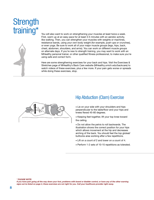# **Strength** training\*

You will also want to work on strengthening your muscles at least twice a week. First, warm up at an easy pace for at least 3-5 minutes with an aerobic activity, like walking. Then, you can strengthen your muscles with weights or machines, resistance bands, using your own body weight (for example, push-ups or crunches), or even yoga. Be sure to work all of your major muscle groups (legs, hips, back, chest, abdomen, shoulders, and arms). You can work on different muscle groups on alternate days. If you're new to strength training, you may want to work with an MHealthy personal trainer, or other qualified fitness professional, to make sure you're using safe and correct form.

Here are some strengthening exercises for your back and hips. Visit the Exercises & Stretches page of MHealthy's Back Care website (MHealthy.umich.edu/backcare) to watch videos of these exercises, plus a few more. If your pain gets worse or spreads while doing these exercises, stop.



### Hip Abduction (Clam) Exercise

• Lie on your side with your shoulders and hips perpendicular to the table/floor and your hips and knees flexed 45-60 degrees.

• Keeping feet together, lift your top knee toward the ceiling.

• Do not allow the pelvis to roll backwards. The illustration shows the correct position for your hips which allows movement at the hip and decreases arching of the back. You should feel the top gluteal/ buttocks area working after a few repetitions.

- Lift on a count of 2 and lower on a count of 4.
- Perform 1-2 sets of 10-15 repetitions as tolerated.

*\* PLEASE NOTE:* 

*If you have pain going all the way down your foot, problems with bowel or bladder control, or have any of the other warning signs we've listed on page 4, these exercises are not right for you. Call your healthcare provider right away.*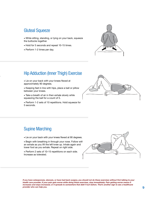### Gluteal Squeeze

- While sitting, standing, or lying on your back, squeeze the buttocks together.
- Hold for 5 seconds and repeat 10-15 times.
- Perform 1-2 times per day.



### Hip Adduction (Inner Thigh) Exercise

• Lie on your back with your knees flexed at approximately 90 degrees.

• Keeping feet in line with hips, place a ball or pillow between your knees.

• Take a breath of air in then exhale slowly while squeezing the ball for a count of 5.

• Perform 1-2 sets of 10 repetitions. Hold squeeze for 5 seconds.



# Supine Marching

• Lie on your back with your knees flexed at 90 degrees.

• Begin with breathing in through your nose. Follow with an exhale as you lift the left knee up. Inhale again and lower foot as you exhale. Repeat on right side.

• Perform 2 sets of 10–15 repetitions on each side. Increase as tolerated.



*If you have osteoporosis, stenosis, or have had back surgery, you should not do these exercises without first talking to your*  health care provider. If your pain gets worse while doing these exercises, stop immediately. Pain getting worse means it increases and stays increased, or it spreads to somewhere that didn't hurt before. That's another sign to see a healthcare *provider who can help you.*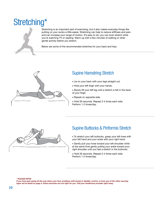# Stretching\*



Stretching is an important part of exercising, but it also makes everyday things like putting on your socks a little easier. Stretching can help to reduce stiffness and pain, and can increase your range of motion. It's easy to do; you can even stretch while you're watching TV or reading. Warm up with a few minutes of walking or other gentle activity before you stretch.

Below are some of the recommended stretches for your back and hips.



# Supine Hamstring Stretch

- Lie on your back with your legs straight out.
- Hold your left thigh with your hands.
- Slowly lift your left leg until a stretch is felt in the back of your thigh.
- Repeat on opposite side.
- Hold 30 seconds. Repeat 2-4 times each side. Perform 1-2 times/day.



# Supine Buttocks & Piriformis Stretch

• To stretch your left buttocks, grasp your left knee with your left hand and your ankle with your right hand.

• Gently pull your knee toward your left shoulder while at the same time gently pulling your ankle toward your right shoulder until you feel a stretch in the buttocks.

• Hold 30 seconds. Repeat 2-4 times each side. Perform 1-2 times/day.

*\* PLEASE NOTE:* 

*If you have pain going all the way down your foot, problems with bowel or bladder control, or have any of the other warning signs we've listed on page 4, these exercises are not right for you. Call your healthcare provider right away.*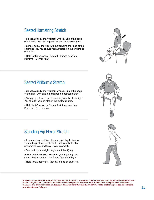### Seated Hamstring Stretch

• Select a sturdy chair without wheels. Sit on the edge of the chair with one leg straight and toes pointing up.

• Simply flex at the hips without bending the knee of the extended leg. You should feel a stretch on the underside of the leg.

• Hold for 30 seconds. Repeat 2-4 times each leg. Perform 1-2 times /day.

# Seated Piriformis Stretch

• Select a sturdy chair without wheels. Sit on the edge of the chair with one leg propped on opposite knee.

• Simply lean forward while keeping your back straight. You should feel a stretch in the buttocks area.

• Hold for 30 seconds. Repeat 2-4 times each leg. Perform 1-2 times /day.





# Standing Hip Flexor Stretch

• In a standing position with your right leg in front of your left leg, stand up straight. Tuck your buttocks underneath you and tuck in your stomach.

- Start with your weight on your left (back) leg.
- Slowly transfer your weight to your right leg. You should feel a stretch in the front of your left thigh.
- Hold for 20 seconds. Repeat 3 times on each leg.



*If you have osteoporosis, stenosis, or have had back surgery, you should not do these exercises without first talking to your*  health care provider. If your pain gets worse while doing these exercises, stop immediately. Pain getting worse means it *increases and stays increased, or it spreads to somewhere that didn't hurt before. That's another sign to see a healthcare provider who can help you.*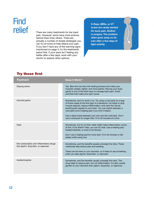# **Find** relief

There are many treatments for low back pain. However, some have more science behind them than others. There are actually a number of simple strategies you can try at home to help relieve your pain. If you don't have any of the warning signs mentioned on page 4, try the treatments below first. If your back isn't feeling any better after a few days, work with your doctor to explore other options.

**X-Rays, MRIs, or CT scans are rarely needed for back pain. Neither is surgery. The problem often goes away on its own after a few days of light activity.**

### Try these first

| <b>Treatment</b>                                                                 | <b>Does it Work?</b>                                                                                                                                                                                                                                                                                                                                                                                                                                   |
|----------------------------------------------------------------------------------|--------------------------------------------------------------------------------------------------------------------------------------------------------------------------------------------------------------------------------------------------------------------------------------------------------------------------------------------------------------------------------------------------------------------------------------------------------|
| Staying active                                                                   | Yes. Bed rest can slow the healing process and make your<br>muscles weaker, tighter, and more painful. Moving your body<br>gently is one of the best ways to manage back pain. Avoid<br>activities that make your pain worse.                                                                                                                                                                                                                          |
| Ice/cold packs                                                                   | Sometimes, and it's worth a try. Try using a cold pack (or a bag<br>of frozen peas) at the first sign of a backache. Ice helps to stop<br>muscle spasms, reduce inflammation, and calm the nerves<br>sending pain signals to your brain. You can switch between a<br>cold pack and a heating pad if you find it helpful.<br>Use a damp towel between your skin and the cold pack. Don't<br>use a cold pack for longer than 15 to 20 minutes at a time. |
| Heat                                                                             | Sometimes, but try ice first. Heat might make inflammation worse<br>at first. If ice doesn't help, you can try heat. Use a heating pad,<br>heated blankets, or even a hot shower.<br>Don't use a heating pad for more than 15 to 20 minutes or fall<br>asleep while using one.                                                                                                                                                                         |
| Non-prescription anti-inflammatory drugs<br>like aspirin, ibuprofen, or naproxen | Sometimes, and the benefits usually outweigh the risks. These<br>medicines help reduce pain and swelling.<br>These can be hard on your stomach, so it helps to eat something<br>when you take aspirin, ibuprofen, or naproxen.                                                                                                                                                                                                                         |
| Acetaminophen                                                                    | Sometimes, and the benefits usually outweigh the risks. This<br>drug helps to reduce pain, but not inflammation. It's also usually<br>gentler on your stomach than aspirin, ibuprofen, or naproxen.                                                                                                                                                                                                                                                    |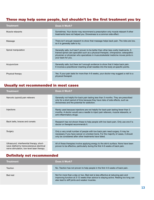### These may help some people, but shouldn't be the first treatment you try

| <b>Treatment</b>    | Does it Work?                                                                                                                                                                                                                                                                             |
|---------------------|-------------------------------------------------------------------------------------------------------------------------------------------------------------------------------------------------------------------------------------------------------------------------------------------|
| Muscle relaxants    | Sometimes. Your doctor may recommend a prescription-only muscle relaxant if other<br>treatments have not helped you. Drowsiness is a common side effect.                                                                                                                                  |
| Massage             | There isn't enough research to show that massage helps back pain. The risks are low,<br>so it is generally safe to try.                                                                                                                                                                   |
| Spinal manipulation | Generally safe, but hasn't proven to be better than other less costly treatments. A<br>trained spinal care specialist such as a physical therapist, chiropractor, osteopathic<br>physician or physician who specializes in musculoskeletal medicine moves joints in<br>your back for you. |
| Acupuncture         | Generally safe, but there isn't enough evidence to show that it helps back pain.<br>It involves a practitioner inserting small needles into the body at specific points.                                                                                                                  |
| Physical therapy    | Yes. If your pain lasts for more than 4-6 weeks, your doctor may suggest a visit to a<br>physical therapist.                                                                                                                                                                              |

### Usually not recommended in most cases

| <b>Treatment</b>                                                                                                                     | Does it Work?                                                                                                                                                                                                                  |
|--------------------------------------------------------------------------------------------------------------------------------------|--------------------------------------------------------------------------------------------------------------------------------------------------------------------------------------------------------------------------------|
| Narcotic (opioid) pain relievers                                                                                                     | Generally not helpful for back pain lasting less than 3 months. They are prescribed<br>only for a short period of time because they have risks of side effects, such as<br>drowsiness and the potential for addiction.         |
| Injections                                                                                                                           | Rarely used because injections are not helpful for back pain lasting fewer than 3<br>months. A doctor would use a needle to inject pain relievers, muscle relaxants, or<br>anti-inflammatory drugs.                            |
| Back belts, braces and corsets                                                                                                       | Research has not shown these to help people with low back pain. Only use one if a<br>doctor or therapist recommends it.                                                                                                        |
| Surgery                                                                                                                              | Only a very small number of people with low back pain need surgery. It may be<br>necessary if you have cancer or a broken bone. For the majority of cases, it should<br>only be considered after other treatments have failed. |
| Ultrasound, interferential therapy, short-<br>wave diathermy transcutaneous electrical<br>nerve stimulation, low-level laser therapy | All of these therapies involve applying energy to the skin's surface. None have been<br>proven to be effective, particularly during the first 4-6 weeks of back pain.                                                          |

### Definitely not recommended

| <b>Treatment</b> | <b>Does it Work?</b>                                                                                                                                                                                                     |
|------------------|--------------------------------------------------------------------------------------------------------------------------------------------------------------------------------------------------------------------------|
| Traction         | No. Traction has not proven to help people in the first 4-6 weeks of back pain.                                                                                                                                          |
| Bed rest         | Not for more than a day or two. Bed rest is less effective at reducing pain and<br>improving function at 3-12 weeks than advice to staying active. Resting too long can<br>also lead to stiff joints and weaker muscles. |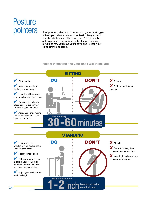# **Posture** pointers

Poor posture makes your muscles and ligaments struggle to keep you balanced—which can lead to fatigue, back pain, headaches, and other problems. You may not be able to prevent every episode of back pain, but being mindful of how you move your body helps to keep your spine strong and stable.

**Follow these tips and your back will thank you.**

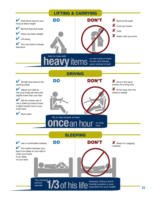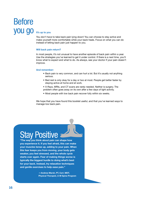# **you go** It's up to you Before

You don't have to take back pain lying down! You can choose to stay active and make yourself more comfortable while your back heals. Focus on what you can do instead of letting back pain just happen to you.

#### **Will back pain return?**

In most people, it's not unusual to have another episode of back pain within a year. Use the strategies you've learned to get it under control. If there is a next time, you'll know what to expect and what to do. As always, see your doctor if your pain doesn't improve.

#### **And remember:**

- Back pain is very common, and can hurt a lot. But it's usually not anything serious.
- Bed rest is only okay for a day or two at most. People get better faster by staying active at home and at work.
- X-Rays, MRIs, and CT scans are rarely needed. Neither is surgery. The problem often goes away on its own after a few days of light activity.
- Most people with low back pain recover fully within six weeks.

We hope that you have found this booklet useful, and that you've learned ways to manage low back pain.

# Stay Positive

**"The way you think about pain can shape how you experience it. If you feel afraid, this can make your muscles tense up, adding to your pain. When this fear keeps you from moving, your body gets weaker, you feel stressed, and the whole cycle starts over again. Fear of making things worse is typically the biggest hurdle to doing what's best for your back. Instead, try relaxation techniques and gentle exercises to help ease pain."**

> **—Andrew Marsh, PT, Cert. MDT, Physical Therapist, U-M Spine Program**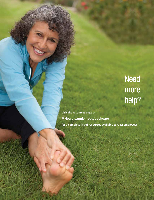# **Need** more help?

**Visit the resources page at MHealthy.umich.edu/backcare for a complete list of resources available to U-M employees.**